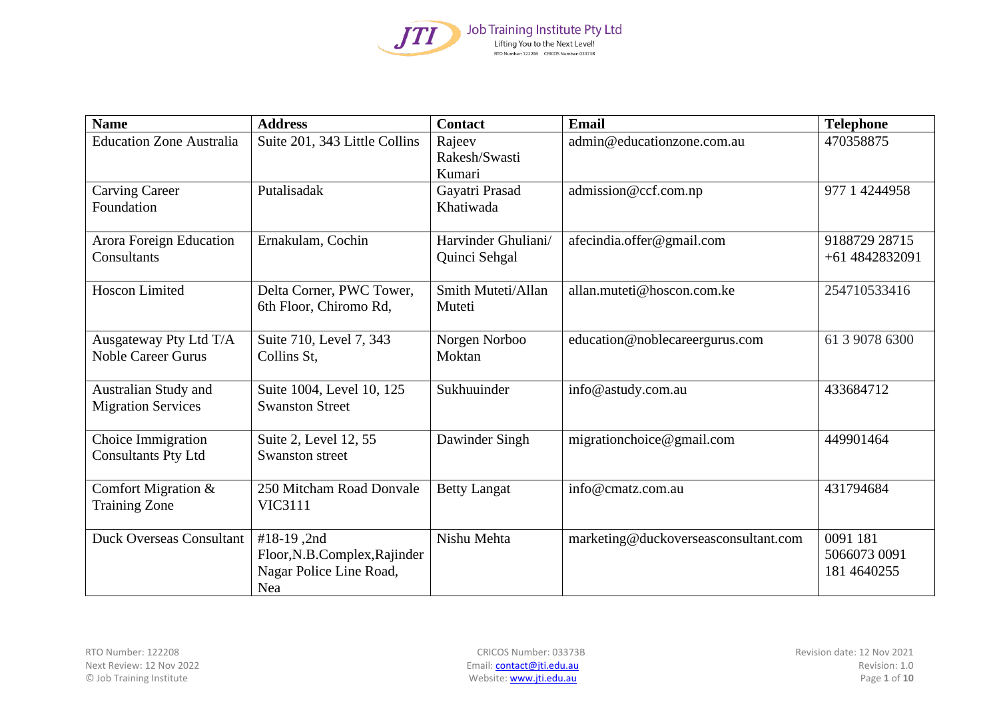

| <b>Name</b>                                         | <b>Address</b>                                                               | <b>Contact</b>                       | <b>Email</b>                         | <b>Telephone</b>                        |
|-----------------------------------------------------|------------------------------------------------------------------------------|--------------------------------------|--------------------------------------|-----------------------------------------|
| <b>Education Zone Australia</b>                     | Suite 201, 343 Little Collins                                                | Rajeev<br>Rakesh/Swasti<br>Kumari    | admin@educationzone.com.au           | 470358875                               |
| <b>Carving Career</b><br>Foundation                 | Putalisadak                                                                  | Gayatri Prasad<br>Khatiwada          | admission@ccf.com.np                 | 977 1 4244958                           |
| Arora Foreign Education<br>Consultants              | Ernakulam, Cochin                                                            | Harvinder Ghuliani/<br>Quinci Sehgal | afecindia.offer@gmail.com            | 9188729 28715<br>+61 4842832091         |
| Hoscon Limited                                      | Delta Corner, PWC Tower,<br>6th Floor, Chiromo Rd,                           | Smith Muteti/Allan<br>Muteti         | allan.muteti@hoscon.com.ke           | 254710533416                            |
| Ausgateway Pty Ltd T/A<br><b>Noble Career Gurus</b> | Suite 710, Level 7, 343<br>Collins St,                                       | Norgen Norboo<br>Moktan              | education@noblecareergurus.com       | 61 3 9078 6300                          |
| Australian Study and<br><b>Migration Services</b>   | Suite 1004, Level 10, 125<br><b>Swanston Street</b>                          | Sukhuuinder                          | info@astudy.com.au                   | 433684712                               |
| Choice Immigration<br><b>Consultants Pty Ltd</b>    | Suite 2, Level 12, 55<br>Swanston street                                     | Dawinder Singh                       | migrationchoice@gmail.com            | 449901464                               |
| Comfort Migration &<br><b>Training Zone</b>         | 250 Mitcham Road Donvale<br><b>VIC3111</b>                                   | <b>Betty Langat</b>                  | info@cmatz.com.au                    | 431794684                               |
| <b>Duck Overseas Consultant</b>                     | #18-19,2nd<br>Floor, N.B.Complex, Rajinder<br>Nagar Police Line Road,<br>Nea | Nishu Mehta                          | marketing@duckoverseasconsultant.com | 0091 181<br>5066073 0091<br>181 4640255 |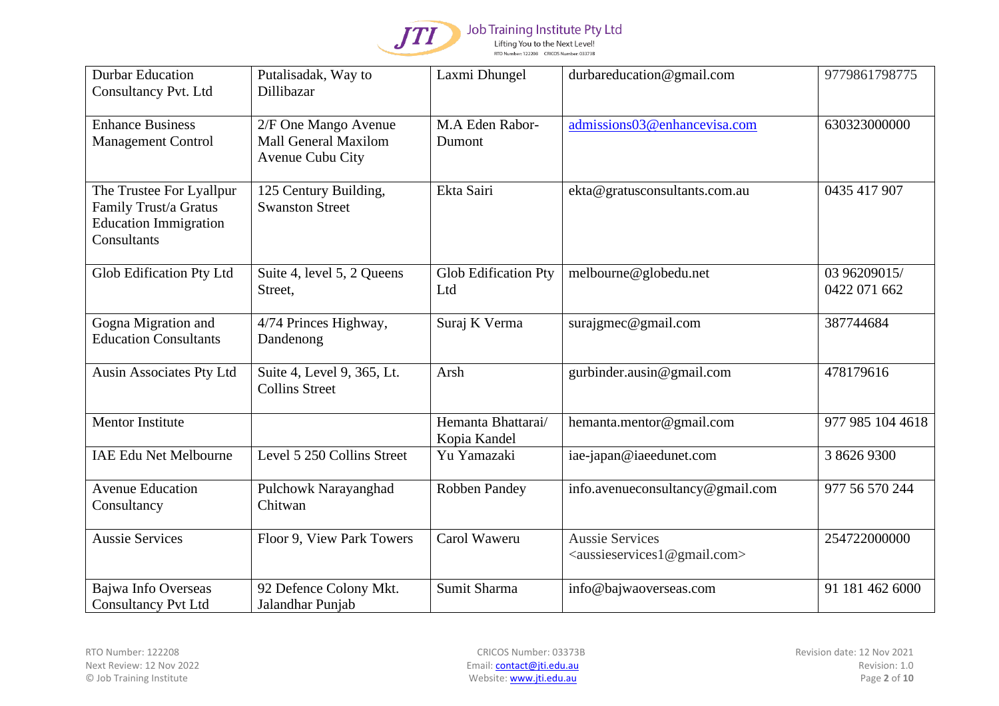

| <b>Durbar Education</b><br><b>Consultancy Pvt. Ltd</b>                                           | Putalisadak, Way to<br>Dillibazar                                | Laxmi Dhungel                      | durbareducation@gmail.com                                                         | 9779861798775                |
|--------------------------------------------------------------------------------------------------|------------------------------------------------------------------|------------------------------------|-----------------------------------------------------------------------------------|------------------------------|
| <b>Enhance Business</b><br><b>Management Control</b>                                             | 2/F One Mango Avenue<br>Mall General Maxilom<br>Avenue Cubu City | M.A Eden Rabor-<br>Dumont          | admissions03@enhancevisa.com                                                      | 630323000000                 |
| The Trustee For Lyallpur<br>Family Trust/a Gratus<br><b>Education Immigration</b><br>Consultants | 125 Century Building,<br><b>Swanston Street</b>                  | Ekta Sairi                         | ekta@gratusconsultants.com.au                                                     | 0435 417 907                 |
| Glob Edification Pty Ltd                                                                         | Suite 4, level 5, 2 Queens<br>Street,                            | <b>Glob Edification Pty</b><br>Ltd | melbourne@globedu.net                                                             | 03 96209015/<br>0422 071 662 |
| Gogna Migration and<br><b>Education Consultants</b>                                              | 4/74 Princes Highway,<br>Dandenong                               | Suraj K Verma                      | surajgmec@gmail.com                                                               | 387744684                    |
| Ausin Associates Pty Ltd                                                                         | Suite 4, Level 9, 365, Lt.<br><b>Collins Street</b>              | Arsh                               | gurbinder.ausin@gmail.com                                                         | 478179616                    |
| Mentor Institute                                                                                 |                                                                  | Hemanta Bhattarai/<br>Kopia Kandel | hemanta.mentor@gmail.com                                                          | 977 985 104 4618             |
| <b>IAE Edu Net Melbourne</b>                                                                     | Level 5 250 Collins Street                                       | Yu Yamazaki                        | iae-japan@iaeedunet.com                                                           | 3 8626 9300                  |
| <b>Avenue Education</b><br>Consultancy                                                           | Pulchowk Narayanghad<br>Chitwan                                  | Robben Pandey                      | info.avenueconsultancy@gmail.com                                                  | 977 56 570 244               |
| <b>Aussie Services</b>                                                                           | Floor 9, View Park Towers                                        | Carol Waweru                       | <b>Aussie Services</b><br><aussieservices1@gmail.com></aussieservices1@gmail.com> | 254722000000                 |
| Bajwa Info Overseas<br><b>Consultancy Pvt Ltd</b>                                                | 92 Defence Colony Mkt.<br>Jalandhar Punjab                       | Sumit Sharma                       | info@bajwaoverseas.com                                                            | 91 181 462 6000              |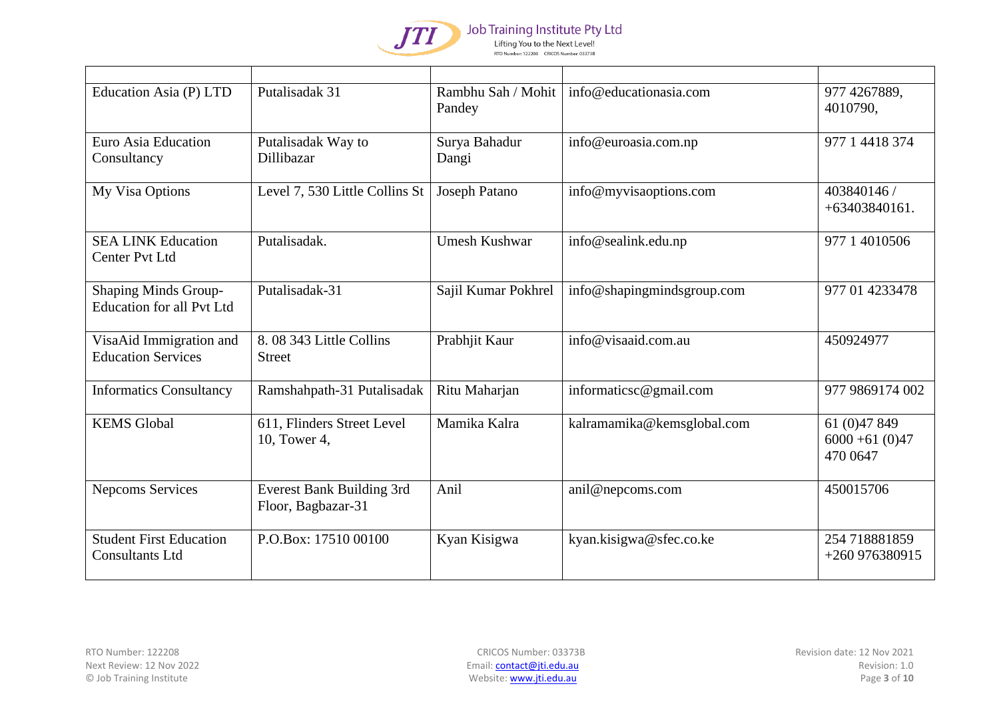

Job Training Institute Pty Ltd Lifting You to the Next Level!

RTO Number: 122208 CRICOS Number: 03373B

| Education Asia (P) LTD                                          | Putalisadak 31                                  | Rambhu Sah / Mohit<br>Pandey | info@educationasia.com     | 977 4267889,<br>4010790,                      |
|-----------------------------------------------------------------|-------------------------------------------------|------------------------------|----------------------------|-----------------------------------------------|
| Euro Asia Education<br>Consultancy                              | Putalisadak Way to<br>Dillibazar                | Surya Bahadur<br>Dangi       | info@euroasia.com.np       | 977 1 4418 374                                |
| My Visa Options                                                 | Level 7, 530 Little Collins St                  | Joseph Patano                | info@myvisaoptions.com     | 403840146 /<br>$+63403840161.$                |
| <b>SEA LINK Education</b><br><b>Center Pvt Ltd</b>              | Putalisadak.                                    | <b>Umesh Kushwar</b>         | info@sealink.edu.np        | 977 1 4010506                                 |
| <b>Shaping Minds Group-</b><br><b>Education for all Pvt Ltd</b> | Putalisadak-31                                  | Sajil Kumar Pokhrel          | info@shapingmindsgroup.com | 977 01 4233478                                |
| VisaAid Immigration and<br><b>Education Services</b>            | 8.08 343 Little Collins<br><b>Street</b>        | Prabhjit Kaur                | info@visaaid.com.au        | 450924977                                     |
| <b>Informatics Consultancy</b>                                  | Ramshahpath-31 Putalisadak                      | Ritu Maharjan                | informaticsc@gmail.com     | 977 9869174 002                               |
| <b>KEMS</b> Global                                              | 611, Flinders Street Level<br>10, Tower 4,      | Mamika Kalra                 | kalramamika@kemsglobal.com | 61 (0) 47 849<br>$6000 + 61(0)47$<br>470 0647 |
| Nepcoms Services                                                | Everest Bank Building 3rd<br>Floor, Bagbazar-31 | Anil                         | anil@nepcoms.com           | 450015706                                     |
| <b>Student First Education</b><br><b>Consultants Ltd</b>        | P.O.Box: 17510 00100                            | Kyan Kisigwa                 | kyan.kisigwa@sfec.co.ke    | 254 718881859<br>$+260976380915$              |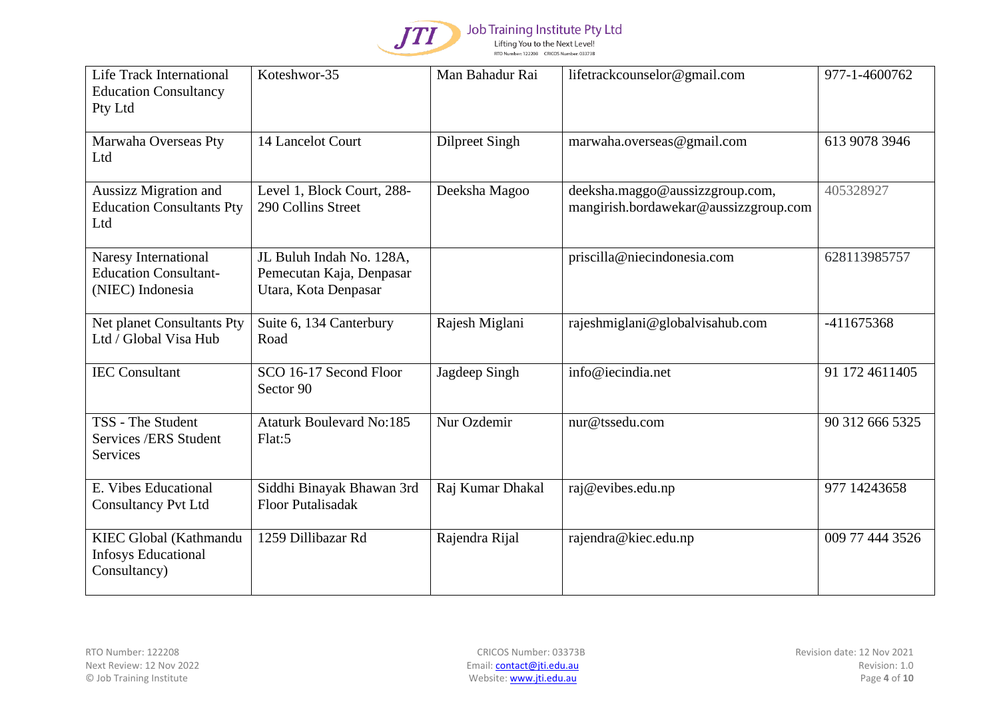

| Life Track International<br><b>Education Consultancy</b><br>Pty Ltd      | Koteshwor-35                                                                 | Man Bahadur Rai       | lifetrackcounselor@gmail.com                                             | 977-1-4600762   |
|--------------------------------------------------------------------------|------------------------------------------------------------------------------|-----------------------|--------------------------------------------------------------------------|-----------------|
| Marwaha Overseas Pty<br>Ltd                                              | 14 Lancelot Court                                                            | <b>Dilpreet Singh</b> | marwaha.overseas@gmail.com                                               | 613 9078 3946   |
| Aussizz Migration and<br><b>Education Consultants Pty</b><br>Ltd         | Level 1, Block Court, 288-<br>290 Collins Street                             | Deeksha Magoo         | deeksha.maggo@aussizzgroup.com,<br>mangirish.bordawekar@aussizzgroup.com | 405328927       |
| Naresy International<br><b>Education Consultant-</b><br>(NIEC) Indonesia | JL Buluh Indah No. 128A,<br>Pemecutan Kaja, Denpasar<br>Utara, Kota Denpasar |                       | priscilla@niecindonesia.com                                              | 628113985757    |
| Net planet Consultants Pty<br>Ltd / Global Visa Hub                      | Suite 6, 134 Canterbury<br>Road                                              | Rajesh Miglani        | rajeshmiglani@globalvisahub.com                                          | -411675368      |
| <b>IEC</b> Consultant                                                    | SCO 16-17 Second Floor<br>Sector 90                                          | Jagdeep Singh         | info@iecindia.net                                                        | 91 172 461 1405 |
| TSS - The Student<br>Services /ERS Student<br>Services                   | <b>Ataturk Boulevard No:185</b><br>Flat:5                                    | Nur Ozdemir           | nur@tssedu.com                                                           | 90 312 666 5325 |
| E. Vibes Educational<br><b>Consultancy Pvt Ltd</b>                       | Siddhi Binayak Bhawan 3rd<br><b>Floor Putalisadak</b>                        | Raj Kumar Dhakal      | raj@evibes.edu.np                                                        | 977 14243658    |
| KIEC Global (Kathmandu<br><b>Infosys Educational</b><br>Consultancy)     | 1259 Dillibazar Rd                                                           | Rajendra Rijal        | rajendra@kiec.edu.np                                                     | 009 77 444 3526 |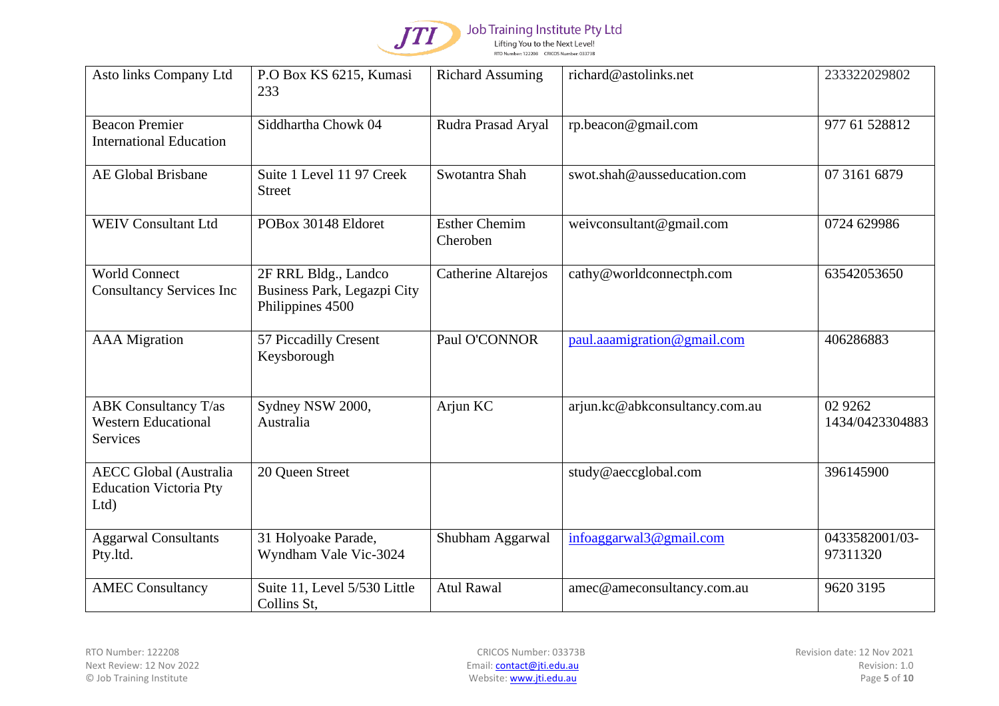

| Asto links Company Ltd                                                | P.O Box KS 6215, Kumasi<br>233                                          | <b>Richard Assuming</b>          | richard@astolinks.net          | 233322029802                  |
|-----------------------------------------------------------------------|-------------------------------------------------------------------------|----------------------------------|--------------------------------|-------------------------------|
| <b>Beacon Premier</b><br><b>International Education</b>               | Siddhartha Chowk 04                                                     | Rudra Prasad Aryal               | rp.beacon@gmail.com            | 977 61 528812                 |
| <b>AE Global Brisbane</b>                                             | Suite 1 Level 11 97 Creek<br><b>Street</b>                              | Swotantra Shah                   | swot.shah@ausseducation.com    | 07 3161 6879                  |
| <b>WEIV Consultant Ltd</b>                                            | POBox 30148 Eldoret                                                     | <b>Esther Chemim</b><br>Cheroben | weivconsultant@gmail.com       | 0724 629986                   |
| <b>World Connect</b><br><b>Consultancy Services Inc</b>               | 2F RRL Bldg., Landco<br>Business Park, Legazpi City<br>Philippines 4500 | Catherine Altarejos              | cathy@worldconnectph.com       | 63542053650                   |
| <b>AAA</b> Migration                                                  | 57 Piccadilly Cresent<br>Keysborough                                    | Paul O'CONNOR                    | paul.aaamigration@gmail.com    | 406286883                     |
| <b>ABK</b> Consultancy T/as<br><b>Western Educational</b><br>Services | Sydney NSW 2000,<br>Australia                                           | Arjun KC                         | arjun.kc@abkconsultancy.com.au | 02 9 2 6 2<br>1434/0423304883 |
| <b>AECC Global (Australia</b><br><b>Education Victoria Pty</b><br>Ltd | 20 Queen Street                                                         |                                  | study@aeccglobal.com           | 396145900                     |
| <b>Aggarwal Consultants</b><br>Pty.ltd.                               | 31 Holyoake Parade,<br>Wyndham Vale Vic-3024                            | Shubham Aggarwal                 | infoaggarwal3@gmail.com        | 0433582001/03-<br>97311320    |
| <b>AMEC Consultancy</b>                                               | Suite 11, Level 5/530 Little<br>Collins St,                             | <b>Atul Rawal</b>                | amec@ameconsultancy.com.au     | 9620 3195                     |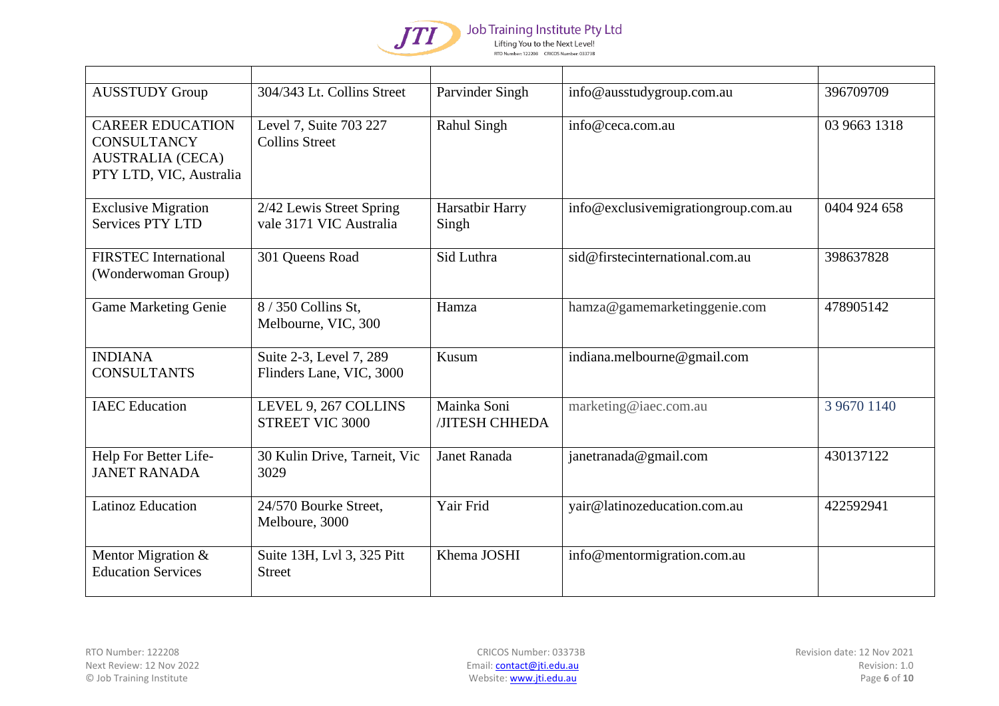

| <b>AUSSTUDY Group</b>                                                                               | 304/343 Lt. Collins Street                          | Parvinder Singh               | info@ausstudygroup.com.au           | 396709709    |
|-----------------------------------------------------------------------------------------------------|-----------------------------------------------------|-------------------------------|-------------------------------------|--------------|
| <b>CAREER EDUCATION</b><br><b>CONSULTANCY</b><br><b>AUSTRALIA (CECA)</b><br>PTY LTD, VIC, Australia | Level 7, Suite 703 227<br><b>Collins Street</b>     | <b>Rahul Singh</b>            | info@ceca.com.au                    | 03 9663 1318 |
| <b>Exclusive Migration</b><br><b>Services PTY LTD</b>                                               | 2/42 Lewis Street Spring<br>vale 3171 VIC Australia | Harsatbir Harry<br>Singh      | info@exclusivemigrationgroup.com.au | 0404 924 658 |
| <b>FIRSTEC</b> International<br>(Wonderwoman Group)                                                 | 301 Queens Road                                     | Sid Luthra                    | sid@firstecinternational.com.au     | 398637828    |
| <b>Game Marketing Genie</b>                                                                         | 8 / 350 Collins St,<br>Melbourne, VIC, 300          | Hamza                         | hamza@gamemarketinggenie.com        | 478905142    |
| <b>INDIANA</b><br><b>CONSULTANTS</b>                                                                | Suite 2-3, Level 7, 289<br>Flinders Lane, VIC, 3000 | Kusum                         | indiana.melbourne@gmail.com         |              |
| <b>IAEC</b> Education                                                                               | LEVEL 9, 267 COLLINS<br>STREET VIC 3000             | Mainka Soni<br>/JITESH CHHEDA | marketing@iaec.com.au               | 3 9670 1140  |
| Help For Better Life-<br><b>JANET RANADA</b>                                                        | 30 Kulin Drive, Tarneit, Vic<br>3029                | Janet Ranada                  | janetranada@gmail.com               | 430137122    |
| <b>Latinoz Education</b>                                                                            | 24/570 Bourke Street,<br>Melboure, 3000             | Yair Frid                     | yair@latinozeducation.com.au        | 422592941    |
| Mentor Migration &<br><b>Education Services</b>                                                     | Suite 13H, Lvl 3, 325 Pitt<br><b>Street</b>         | Khema JOSHI                   | info@mentormigration.com.au         |              |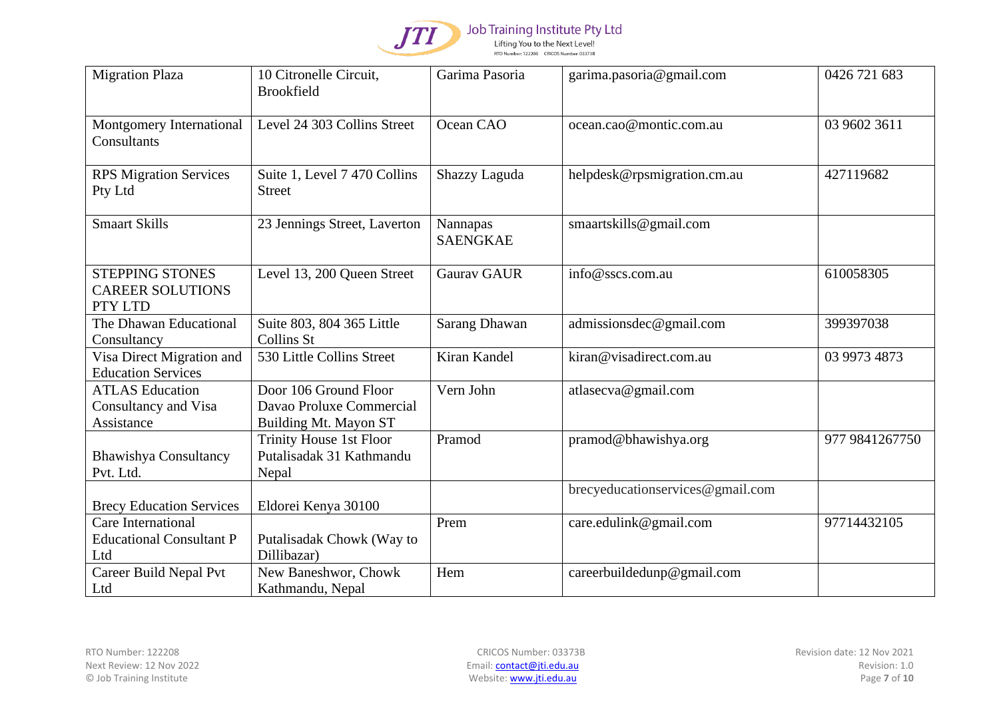

| <b>Migration Plaza</b>                                       | 10 Citronelle Circuit,<br><b>Brookfield</b>                                | Garima Pasoria              | garima.pasoria@gmail.com         | 0426 721 683   |
|--------------------------------------------------------------|----------------------------------------------------------------------------|-----------------------------|----------------------------------|----------------|
| Montgomery International<br>Consultants                      | Level 24 303 Collins Street                                                | Ocean CAO                   | ocean.cao@montic.com.au          | 03 9602 3611   |
| <b>RPS Migration Services</b><br>Pty Ltd                     | Suite 1, Level 7 470 Collins<br><b>Street</b>                              | Shazzy Laguda               | helpdesk@rpsmigration.cm.au      | 427119682      |
| <b>Smaart Skills</b>                                         | 23 Jennings Street, Laverton                                               | Nannapas<br><b>SAENGKAE</b> | smaartskills@gmail.com           |                |
| <b>STEPPING STONES</b><br><b>CAREER SOLUTIONS</b><br>PTY LTD | Level 13, 200 Queen Street                                                 | <b>Gaurav GAUR</b>          | info@sscs.com.au                 | 610058305      |
| The Dhawan Educational<br>Consultancy                        | Suite 803, 804 365 Little<br>Collins St                                    | Sarang Dhawan               | admissionsdec@gmail.com          | 399397038      |
| Visa Direct Migration and<br><b>Education Services</b>       | 530 Little Collins Street                                                  | Kiran Kandel                | kiran@visadirect.com.au          | 03 9973 4873   |
| <b>ATLAS Education</b><br>Consultancy and Visa<br>Assistance | Door 106 Ground Floor<br>Davao Proluxe Commercial<br>Building Mt. Mayon ST | Vern John                   | atlasecva@gmail.com              |                |
| <b>Bhawishya Consultancy</b><br>Pvt. Ltd.                    | Trinity House 1st Floor<br>Putalisadak 31 Kathmandu<br>Nepal               | Pramod                      | pramod@bhawishya.org             | 977 9841267750 |
| <b>Brecy Education Services</b>                              | Eldorei Kenya 30100                                                        |                             | brecyeducationservices@gmail.com |                |
| Care International<br><b>Educational Consultant P</b><br>Ltd | Putalisadak Chowk (Way to<br>Dillibazar)                                   | Prem                        | care.edulink@gmail.com           | 97714432105    |
| Career Build Nepal Pvt<br>Ltd                                | New Baneshwor, Chowk<br>Kathmandu, Nepal                                   | Hem                         | careerbuildedunp@gmail.com       |                |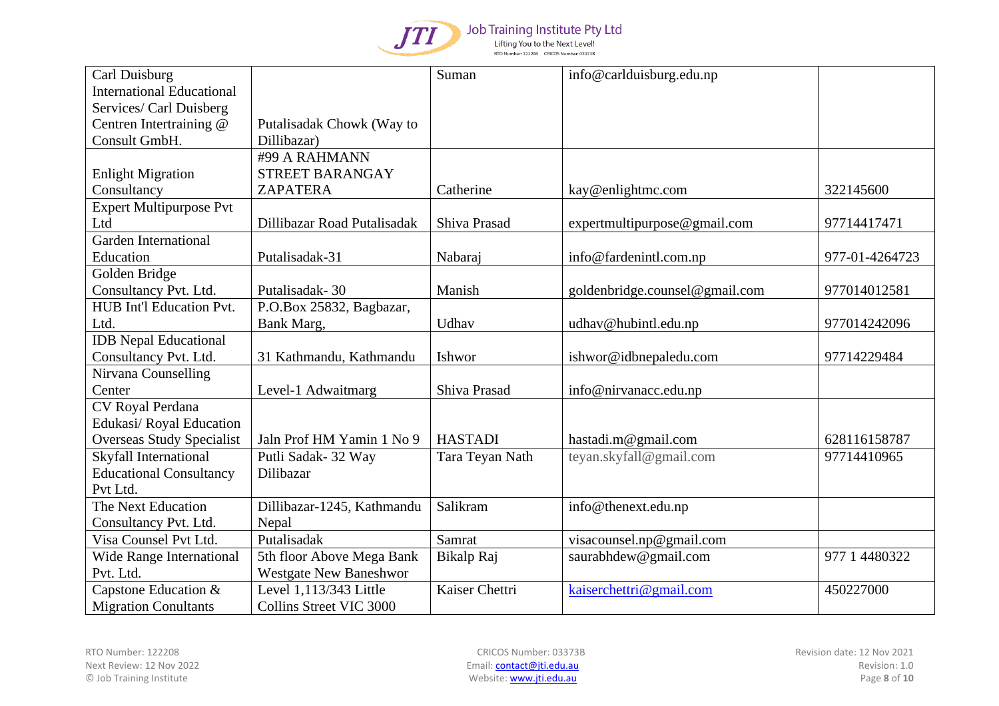

| Carl Duisburg                    |                               | Suman           | info@carlduisburg.edu.np       |                |
|----------------------------------|-------------------------------|-----------------|--------------------------------|----------------|
| <b>International Educational</b> |                               |                 |                                |                |
| Services/ Carl Duisberg          |                               |                 |                                |                |
| Centren Intertraining @          | Putalisadak Chowk (Way to     |                 |                                |                |
| Consult GmbH.                    | Dillibazar)                   |                 |                                |                |
|                                  | #99 A RAHMANN                 |                 |                                |                |
| <b>Enlight Migration</b>         | STREET BARANGAY               |                 |                                |                |
| Consultancy                      | <b>ZAPATERA</b>               | Catherine       | kay@enlightmc.com              | 322145600      |
| <b>Expert Multipurpose Pvt</b>   |                               |                 |                                |                |
| Ltd                              | Dillibazar Road Putalisadak   | Shiva Prasad    | expertmultipurpose@gmail.com   | 97714417471    |
| <b>Garden International</b>      |                               |                 |                                |                |
| Education                        | Putalisadak-31                | Nabaraj         | info@fardenintl.com.np         | 977-01-4264723 |
| Golden Bridge                    |                               |                 |                                |                |
| Consultancy Pvt. Ltd.            | Putalisadak-30                | Manish          | goldenbridge.counsel@gmail.com | 977014012581   |
| HUB Int'l Education Pvt.         | P.O.Box 25832, Bagbazar,      |                 |                                |                |
| Ltd.                             | Bank Marg,                    | Udhav           | udhav@hubintl.edu.np           | 977014242096   |
| <b>IDB</b> Nepal Educational     |                               |                 |                                |                |
| Consultancy Pvt. Ltd.            | 31 Kathmandu, Kathmandu       | Ishwor          | ishwor@idbnepaledu.com         | 97714229484    |
| Nirvana Counselling              |                               |                 |                                |                |
| Center                           | Level-1 Adwaitmarg            | Shiva Prasad    | info@nirvanacc.edu.np          |                |
| CV Royal Perdana                 |                               |                 |                                |                |
| Edukasi/ Royal Education         |                               |                 |                                |                |
| <b>Overseas Study Specialist</b> | Jaln Prof HM Yamin 1 No 9     | <b>HASTADI</b>  | hastadi.m@gmail.com            | 628116158787   |
| Skyfall International            | Putli Sadak- 32 Way           | Tara Teyan Nath | teyan.skyfall@gmail.com        | 97714410965    |
| <b>Educational Consultancy</b>   | Dilibazar                     |                 |                                |                |
| Pvt Ltd.                         |                               |                 |                                |                |
| The Next Education               | Dillibazar-1245, Kathmandu    | Salikram        | info@thenext.edu.np            |                |
| Consultancy Pvt. Ltd.            | Nepal                         |                 |                                |                |
| Visa Counsel Pvt Ltd.            | Putalisadak                   | Samrat          | visacounsel.np@gmail.com       |                |
| Wide Range International         | 5th floor Above Mega Bank     | Bikalp Raj      | saurabhdew@gmail.com           | 977 1 4480322  |
| Pvt. Ltd.                        | <b>Westgate New Baneshwor</b> |                 |                                |                |
| Capstone Education &             | Level 1,113/343 Little        | Kaiser Chettri  | kaiserchettri@gmail.com        | 450227000      |
| <b>Migration Conultants</b>      | Collins Street VIC 3000       |                 |                                |                |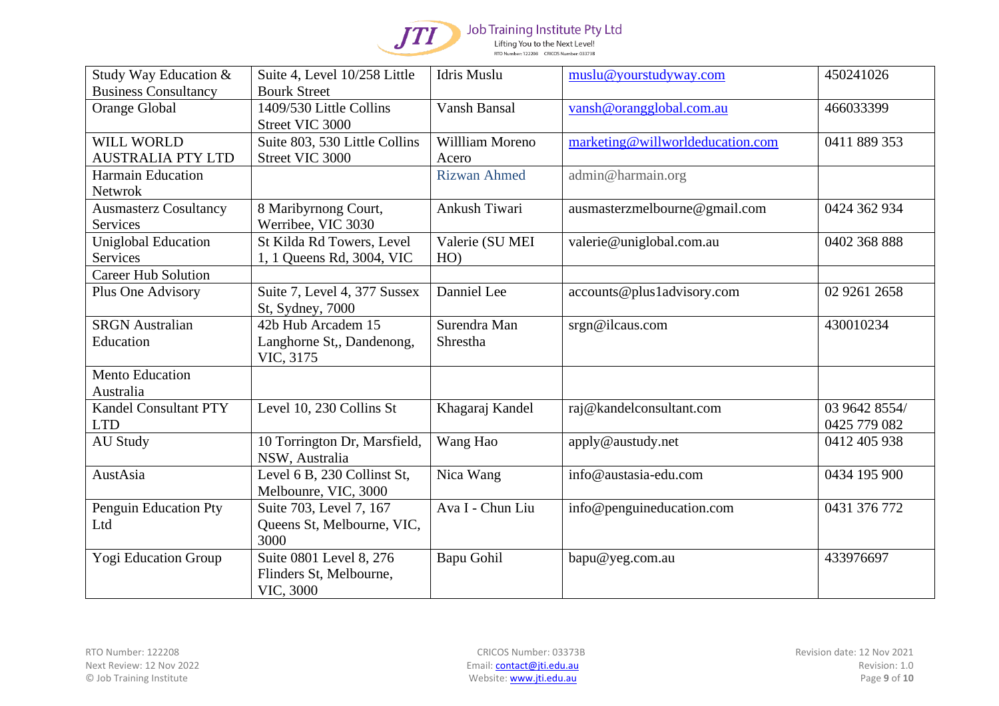

| Study Way Education &        | Suite 4, Level 10/258 Little  | Idris Muslu         | muslu@yourstudyway.com           | 450241026     |
|------------------------------|-------------------------------|---------------------|----------------------------------|---------------|
| <b>Business Consultancy</b>  | <b>Bourk Street</b>           |                     |                                  |               |
| Orange Global                | 1409/530 Little Collins       | Vansh Bansal        | vansh@orangglobal.com.au         | 466033399     |
|                              | Street VIC 3000               |                     |                                  |               |
| WILL WORLD                   | Suite 803, 530 Little Collins | Willliam Moreno     | marketing@willworldeducation.com | 0411 889 353  |
| <b>AUSTRALIA PTY LTD</b>     | Street VIC 3000               | Acero               |                                  |               |
| <b>Harmain Education</b>     |                               | <b>Rizwan Ahmed</b> | admin@harmain.org                |               |
| Netwrok                      |                               |                     |                                  |               |
| <b>Ausmasterz Cosultancy</b> | 8 Maribyrnong Court,          | Ankush Tiwari       | ausmasterzmelbourne@gmail.com    | 0424 362 934  |
| Services                     | Werribee, VIC 3030            |                     |                                  |               |
| <b>Uniglobal Education</b>   | St Kilda Rd Towers, Level     | Valerie (SU MEI     | valerie@uniglobal.com.au         | 0402 368 888  |
| Services                     | 1, 1 Queens Rd, 3004, VIC     | HO)                 |                                  |               |
| <b>Career Hub Solution</b>   |                               |                     |                                  |               |
| Plus One Advisory            | Suite 7, Level 4, 377 Sussex  | Danniel Lee         | accounts@plus1advisory.com       | 02 9261 2658  |
|                              | St, Sydney, 7000              |                     |                                  |               |
| <b>SRGN</b> Australian       | 42b Hub Arcadem 15            | Surendra Man        | srgn@ilcaus.com                  | 430010234     |
| Education                    | Langhorne St,, Dandenong,     | Shrestha            |                                  |               |
|                              | VIC, 3175                     |                     |                                  |               |
| <b>Mento Education</b>       |                               |                     |                                  |               |
| Australia                    |                               |                     |                                  |               |
| <b>Kandel Consultant PTY</b> | Level 10, 230 Collins St      | Khagaraj Kandel     | raj@kandelconsultant.com         | 03 9642 8554/ |
| <b>LTD</b>                   |                               |                     |                                  | 0425 779 082  |
| <b>AU Study</b>              | 10 Torrington Dr, Marsfield,  | Wang Hao            | apply@austudy.net                | 0412 405 938  |
|                              | NSW, Australia                |                     |                                  |               |
| AustAsia                     | Level 6 B, 230 Collinst St,   | Nica Wang           | info@austasia-edu.com            | 0434 195 900  |
|                              | Melbounre, VIC, 3000          |                     |                                  |               |
| Penguin Education Pty        | Suite 703, Level 7, 167       | Ava I - Chun Liu    | info@penguineducation.com        | 0431 376 772  |
| Ltd                          | Queens St, Melbourne, VIC,    |                     |                                  |               |
|                              | 3000                          |                     |                                  |               |
| <b>Yogi Education Group</b>  | Suite 0801 Level 8, 276       | Bapu Gohil          | bapu@yeg.com.au                  | 433976697     |
|                              | Flinders St, Melbourne,       |                     |                                  |               |
|                              | VIC, 3000                     |                     |                                  |               |